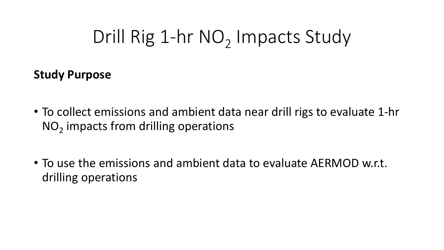# Drill Rig 1-hr NO<sub>2</sub> Impacts Study

**Study Purpose**

- To collect emissions and ambient data near drill rigs to evaluate 1-hr  $NO<sub>2</sub>$  impacts from drilling operations
- To use the emissions and ambient data to evaluate AERMOD w.r.t. drilling operations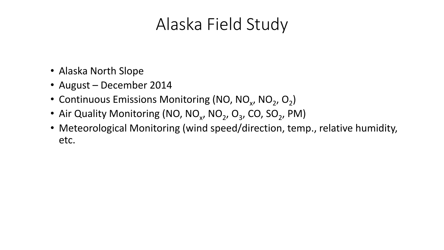#### Alaska Field Study

- Alaska North Slope
- August December 2014
- Continuous Emissions Monitoring (NO, NO<sub>x</sub>, NO<sub>2</sub>, O<sub>2</sub>)
- Air Quality Monitoring (NO, NO<sub>x</sub>, NO<sub>2</sub>, O<sub>3</sub>, CO, SO<sub>2</sub>, PM)
- Meteorological Monitoring (wind speed/direction, temp., relative humidity, etc.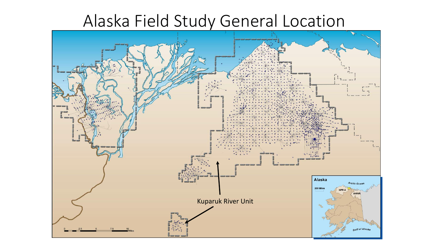#### Alaska Field Study General Location

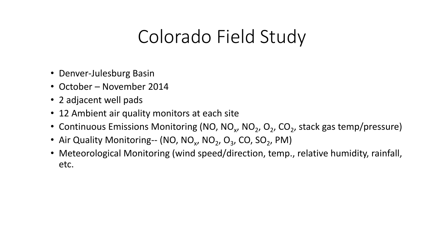### Colorado Field Study

- Denver-Julesburg Basin
- October November 2014
- 2 adjacent well pads
- 12 Ambient air quality monitors at each site
- Continuous Emissions Monitoring (NO, NO<sub>x</sub>, NO<sub>2</sub>, O<sub>2</sub>, CO<sub>2</sub>, stack gas temp/pressure)
- Air Quality Monitoring-- (NO, NO<sub>x</sub>, NO<sub>2</sub>, O<sub>3</sub>, CO, SO<sub>2</sub>, PM)
- Meteorological Monitoring (wind speed/direction, temp., relative humidity, rainfall, etc.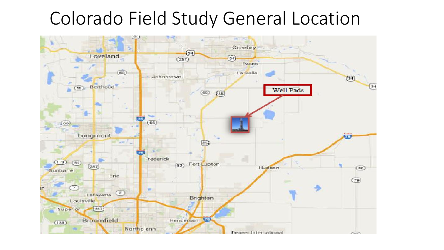#### Colorado Field Study General Location

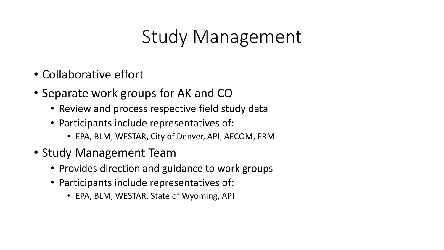### Study Management

- Collaborative effort
- Separate work groups for AK and CO
	- Review and process respective field study data
	- Participants include representatives of:
		- EPA, BLM, WESTAR, City of Denver, API, AECOM, ERM
- Study Management Team
	- Provides direction and guidance to work groups
	- Participants include representatives of:
		- EPA, BLM, WESTAR, State of Wyoming, API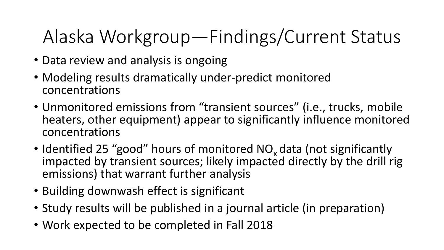## Alaska Workgroup—Findings/Current Status

- Data review and analysis is ongoing
- Modeling results dramatically under-predict monitored concentrations
- Unmonitored emissions from "transient sources" (i.e., trucks, mobile heaters, other equipment) appear to significantly influence monitored concentrations
- Identified 25 "good" hours of monitored NO<sub>x</sub> data (not significantly impacted by transient sources; likely impacted directly by the drill rig emissions) that warrant further analysis
- Building downwash effect is significant
- Study results will be published in a journal article (in preparation)
- Work expected to be completed in Fall 2018